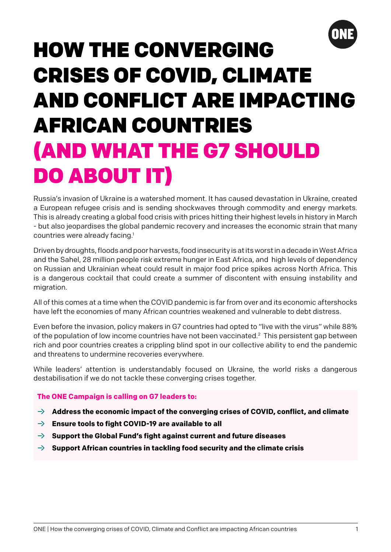

# HOW THE CONVERGING CRISES OF COVID, CLIMATE AND CONFLICT ARE IMPACTING AFRICAN COUNTRIES (AND WHAT THE G7 SHOULD DO ABOUT IT)

Russia's invasion of Ukraine is a watershed moment. It has caused devastation in Ukraine, created a European refugee crisis and is sending shockwaves through commodity and energy markets. This is already creating a global food crisis with prices hitting their highest levels in history in March - but also jeopardises the global pandemic recovery and increases the economic strain that many countries were already facing.1

Driven by droughts, floods and poor harvests, food insecurity is at its worst in a decade in West Africa and the Sahel, 28 million people risk extreme hunger in East Africa, and high levels of dependency on Russian and Ukrainian wheat could result in major food price spikes across North Africa. This is a dangerous cocktail that could create a summer of discontent with ensuing instability and migration.

All of this comes at a time when the COVID pandemic is far from over and its economic aftershocks have left the economies of many African countries weakened and vulnerable to debt distress.

Even before the invasion, policy makers in G7 countries had opted to "live with the virus" while 88% of the population of low income countries have not been vaccinated.<sup>2</sup> This persistent gap between rich and poor countries creates a crippling blind spot in our collective ability to end the pandemic and threatens to undermine recoveries everywhere.

While leaders' attention is understandably focused on Ukraine, the world risks a dangerous destabilisation if we do not tackle these converging crises together.

#### **The ONE Campaign is calling on G7 leaders to:**

- $\rightarrow$  Address the economic impact of the converging crises of COVID, conflict, and climate
- ƍ **Ensure tools to fight COVID-19 are available to all**
- ƍ **Support the Global Fund's fight against current and future diseases**
- ƍ **Support African countries in tackling food security and the climate crisis**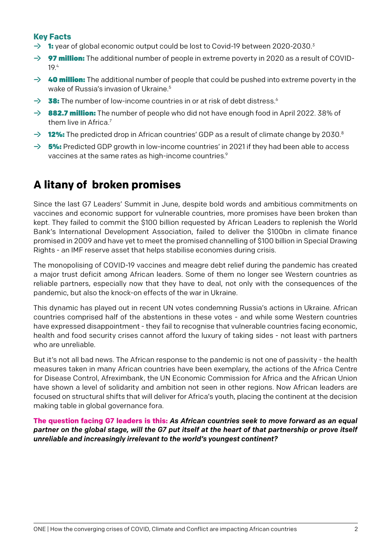## **Key Facts**

- $\rightarrow$  1: year of global economic output could be lost to Covid-19 between 2020-2030.<sup>3</sup>
- $\rightarrow$  97 million: The additional number of people in extreme poverty in 2020 as a result of COVID-19.4
- $\rightarrow$  40 million: The additional number of people that could be pushed into extreme poverty in the wake of Russia's invasion of Ukraine.<sup>5</sup>
- $\rightarrow$  **38:** The number of low-income countries in or at risk of debt distress.<sup>6</sup>
- $\rightarrow$  882.7 million: The number of people who did not have enough food in April 2022. 38% of them live in Africa.<sup>7</sup>
- $\rightarrow$  12%: The predicted drop in African countries' GDP as a result of climate change by 2030.8
- $\rightarrow$  5%: Predicted GDP growth in low-income countries' in 2021 if they had been able to access vaccines at the same rates as high-income countries.<sup>9</sup>

## **A litany of broken promises**

Since the last G7 Leaders' Summit in June, despite bold words and ambitious commitments on vaccines and economic support for vulnerable countries, more promises have been broken than kept. They failed to commit the \$100 billion requested by African Leaders to replenish the World Bank's International Development Association, failed to deliver the \$100bn in climate finance promised in 2009 and have yet to meet the promised channelling of \$100 billion in Special Drawing Rights - an IMF reserve asset that helps stabilise economies during crisis.

The monopolising of COVID-19 vaccines and meagre debt relief during the pandemic has created a major trust deficit among African leaders. Some of them no longer see Western countries as reliable partners, especially now that they have to deal, not only with the consequences of the pandemic, but also the knock-on effects of the war in Ukraine.

This dynamic has played out in recent UN votes condemning Russia's actions in Ukraine. African countries comprised half of the abstentions in these votes - and while some Western countries have expressed disappointment - they fail to recognise that vulnerable countries facing economic, health and food security crises cannot afford the luxury of taking sides - not least with partners who are unreliable.

But it's not all bad news. The African response to the pandemic is not one of passivity - the health measures taken in many African countries have been exemplary, the actions of the Africa Centre for Disease Control, Afreximbank, the UN Economic Commission for Africa and the African Union have shown a level of solidarity and ambition not seen in other regions. Now African leaders are focused on structural shifts that will deliver for Africa's youth, placing the continent at the decision making table in global governance fora.

**The question facing G7 leaders is this:** *As African countries seek to move forward as an equal partner on the global stage, will the G7 put itself at the heart of that partnership or prove itself unreliable and increasingly irrelevant to the world's youngest continent?*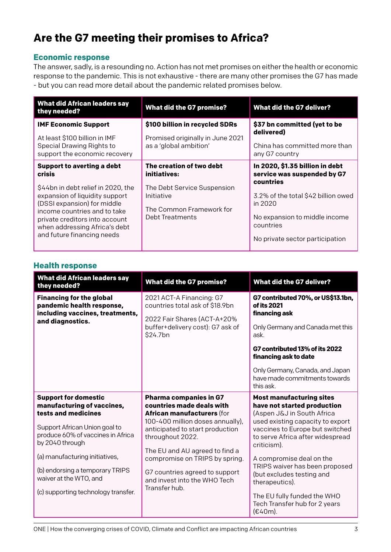# **Are the G7 meeting their promises to Africa?**

#### **Economic response**

The answer, sadly, is a resounding no. Action has not met promises on either the health or economic response to the pandemic. This is not exhaustive - there are many other promises the G7 has made - but you can read more detail about the pandemic related promises below.

| <b>What did African leaders say</b><br>they needed?                                                                                                                                                                                                                                 | <b>What did the G7 promise?</b>                                                                                                      | <b>What did the G7 deliver?</b>                                                                                                                                                                                |
|-------------------------------------------------------------------------------------------------------------------------------------------------------------------------------------------------------------------------------------------------------------------------------------|--------------------------------------------------------------------------------------------------------------------------------------|----------------------------------------------------------------------------------------------------------------------------------------------------------------------------------------------------------------|
| <b>IMF Economic Support</b><br>At least \$100 billion in IMF<br>Special Drawing Rights to<br>support the economic recovery                                                                                                                                                          | \$100 billion in recycled SDRs<br>Promised originally in June 2021<br>as a 'global ambition'                                         | \$37 bn committed (yet to be<br>delivered)<br>China has committed more than<br>any G7 country                                                                                                                  |
| <b>Support to averting a debt</b><br>crisis<br>\$44bn in debt relief in 2020, the<br>expansion of liquidity support<br>(DSSI expansion) for middle<br>income countries and to take<br>private creditors into account<br>when addressing Africa's debt<br>and future financing needs | The creation of two debt<br>initiatives:<br>The Debt Service Suspension<br>Initiative<br>The Common Framework for<br>Debt Treatments | In 2020, \$1.35 billion in debt<br>service was suspended by G7<br>countries<br>3.2% of the total \$42 billion owed<br>in 2020<br>No expansion to middle income<br>countries<br>No private sector participation |

|  | <b>Health response</b> |
|--|------------------------|
|--|------------------------|

| <b>What did African leaders say</b><br>they needed?                                                                 | <b>What did the G7 promise?</b>                                                                                              | <b>What did the G7 deliver?</b>                                                                                                  |
|---------------------------------------------------------------------------------------------------------------------|------------------------------------------------------------------------------------------------------------------------------|----------------------------------------------------------------------------------------------------------------------------------|
| <b>Financing for the global</b><br>pandemic health response,<br>including vaccines, treatments,<br>and diagnostics. | 2021 ACT-A Financing: G7<br>countries total ask of \$18.9bn<br>2022 Fair Shares (ACT-A+20%                                   | G7 contributed 70%, or US\$13.1bn,<br>of its 2021<br>financing ask                                                               |
|                                                                                                                     | buffer+delivery cost): G7 ask of<br>\$24.7bn                                                                                 | Only Germany and Canada met this<br>ask.                                                                                         |
|                                                                                                                     |                                                                                                                              | G7 contributed 13% of its 2022<br>financing ask to date                                                                          |
|                                                                                                                     |                                                                                                                              | Only Germany, Canada, and Japan<br>have made commitments towards<br>this ask.                                                    |
| <b>Support for domestic</b><br>manufacturing of vaccines,<br>tests and medicines                                    | <b>Pharma companies in G7</b><br>countries made deals with<br>African manufacturers (for<br>100-400 million doses annually), | <b>Most manufacturing sites</b><br>have not started production<br>(Aspen J&J in South Africa<br>used existing capacity to export |
| Support African Union goal to<br>produce 60% of vaccines in Africa<br>by 2040 through                               | anticipated to start production<br>throughout 2022.                                                                          | vaccines to Europe but switched<br>to serve Africa after widespread<br>criticism).                                               |
| (a) manufacturing initiatives,                                                                                      | The EU and AU agreed to find a<br>compromise on TRIPS by spring.                                                             | A compromise deal on the                                                                                                         |
| (b) endorsing a temporary TRIPS<br>waiver at the WTO, and                                                           | G7 countries agreed to support<br>and invest into the WHO Tech<br>Transfer hub.                                              | TRIPS waiver has been proposed<br>(but excludes testing and<br>therapeutics).                                                    |
| (c) supporting technology transfer.                                                                                 |                                                                                                                              | The EU fully funded the WHO<br>Tech Transfer hub for 2 years<br>$(E40m)$ .                                                       |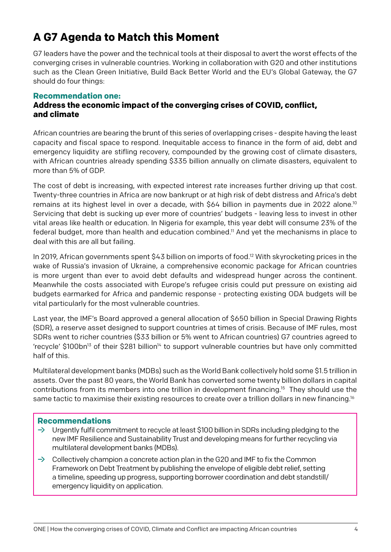# **A G7 Agenda to Match this Moment**

G7 leaders have the power and the technical tools at their disposal to avert the worst effects of the converging crises in vulnerable countries. Working in collaboration with G20 and other institutions such as the Clean Green Initiative, Build Back Better World and the EU's Global Gateway, the G7 should do four things:

#### **Recommendation one:**

#### **Address the economic impact of the converging crises of COVID, conflict, and climate**

African countries are bearing the brunt of this series of overlapping crises - despite having the least capacity and fiscal space to respond. Inequitable access to finance in the form of aid, debt and emergency liquidity are stifling recovery, compounded by the growing cost of climate disasters, with African countries already spending \$335 billion annually on climate disasters, equivalent to more than 5% of GDP.

The cost of debt is increasing, with expected interest rate increases further driving up that cost. Twenty-three countries in Africa are now bankrupt or at high risk of debt distress and Africa's debt remains at its highest level in over a decade, with \$64 billion in payments due in 2022 alone.<sup>10</sup> Servicing that debt is sucking up ever more of countries' budgets - leaving less to invest in other vital areas like health or education. In Nigeria for example, this year debt will consume 23% of the federal budget, more than health and education combined.<sup>11</sup> And yet the mechanisms in place to deal with this are all but failing.

In 2019, African governments spent \$43 billion on imports of food.<sup>12</sup> With skyrocketing prices in the wake of Russia's invasion of Ukraine, a comprehensive economic package for African countries is more urgent than ever to avoid debt defaults and widespread hunger across the continent. Meanwhile the costs associated with Europe's refugee crisis could put pressure on existing aid budgets earmarked for Africa and pandemic response - protecting existing ODA budgets will be vital particularly for the most vulnerable countries.

Last year, the IMF's Board approved a general allocation of \$650 billion in Special Drawing Rights (SDR), a reserve asset designed to support countries at times of crisis. Because of IMF rules, most SDRs went to richer countries (\$33 billion or 5% went to African countries) G7 countries agreed to 'recycle'  $$100bn<sup>13</sup>$  of their  $$281$  billion<sup>14</sup> to support vulnerable countries but have only committed half of this.

Multilateral development banks (MDBs) such as the World Bank collectively hold some \$1.5 trillion in assets. Over the past 80 years, the World Bank has converted some twenty billion dollars in capital contributions from its members into one trillion in development financing.15 They should use the same tactic to maximise their existing resources to create over a trillion dollars in new financing.<sup>16</sup>

#### **Recommendations**

- $\rightarrow$  Urgently fulfil commitment to recycle at least \$100 billion in SDRs including pledging to the new IMF Resilience and Sustainability Trust and developing means for further recycling via multilateral development banks (MDBs).
- $\rightarrow$  Collectively champion a concrete action plan in the G20 and IMF to fix the Common Framework on Debt Treatment by publishing the envelope of eligible debt relief, setting a timeline, speeding up progress, supporting borrower coordination and debt standstill/ emergency liquidity on application.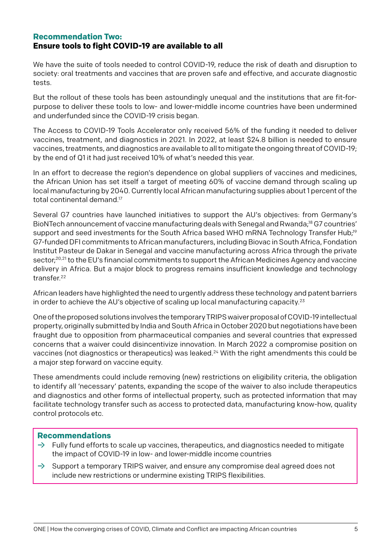#### **Recommendation Two: Ensure tools to fight COVID-19 are available to all**

We have the suite of tools needed to control COVID-19, reduce the risk of death and disruption to society: oral treatments and vaccines that are proven safe and effective, and accurate diagnostic tests.

But the rollout of these tools has been astoundingly unequal and the institutions that are fit-forpurpose to deliver these tools to low- and lower-middle income countries have been undermined and underfunded since the COVID-19 crisis began.

The Access to COVID-19 Tools Accelerator only received 56% of the funding it needed to deliver vaccines, treatment, and diagnostics in 2021. In 2022, at least \$24.8 billion is needed to ensure vaccines, treatments, and diagnostics are available to all to mitigate the ongoing threat of COVID-19; by the end of Q1 it had just received 10% of what's needed this year.

In an effort to decrease the region's dependence on global suppliers of vaccines and medicines, the African Union has set itself a target of meeting 60% of vaccine demand through scaling up local manufacturing by 2040. Currently local African manufacturing supplies about 1 percent of the total continental demand.17

Several G7 countries have launched initiatives to support the AU's objectives: from Germany's BioNTech announcement of vaccine manufacturing deals with Senegal and Rwanda;18 G7 countries' support and seed investments for the South Africa based WHO mRNA Technology Transfer Hub;<sup>19</sup> G7-funded DFI commitments to African manufacturers, including Biovac in South Africa, Fondation Institut Pasteur de Dakar in Senegal and vaccine manufacturing across Africa through the private sector;<sup>20,21</sup> to the EU's financial commitments to support the African Medicines Agency and vaccine delivery in Africa. But a major block to progress remains insufficient knowledge and technology transfer.22

African leaders have highlighted the need to urgently address these technology and patent barriers in order to achieve the AU's objective of scaling up local manufacturing capacity.23

One of the proposed solutions involves the temporary TRIPS waiver proposal of COVID-19 intellectual property, originally submitted by India and South Africa in October 2020 but negotiations have been fraught due to opposition from pharmaceutical companies and several countries that expressed concerns that a waiver could disincentivize innovation. In March 2022 a compromise position on vaccines (not diagnostics or therapeutics) was leaked.<sup>24</sup> With the right amendments this could be a major step forward on vaccine equity.

These amendments could include removing (new) restrictions on eligibility criteria, the obligation to identify all 'necessary' patents, expanding the scope of the waiver to also include therapeutics and diagnostics and other forms of intellectual property, such as protected information that may facilitate technology transfer such as access to protected data, manufacturing know-how, quality control protocols etc.

#### **Recommendations**

- $\rightarrow$  Fully fund efforts to scale up vaccines, therapeutics, and diagnostics needed to mitigate the impact of COVID-19 in low- and lower-middle income countries
- $\rightarrow$  Support a temporary TRIPS waiver, and ensure any compromise deal agreed does not include new restrictions or undermine existing TRIPS flexibilities.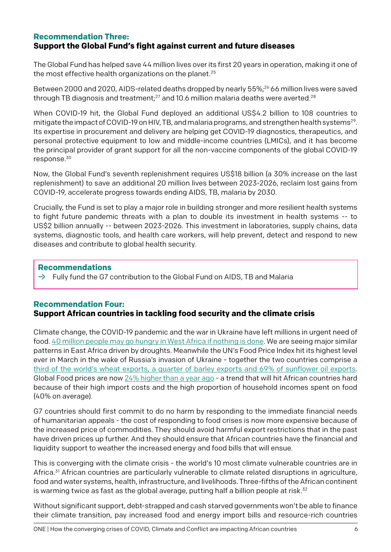#### **Recommendation Three: Support the Global Fund's fight against current and future diseases**

The Global Fund has helped save 44 million lives over its first 20 years in operation, making it one of the most effective health organizations on the planet.<sup>25</sup>

Between 2000 and 2020, AIDS-related deaths dropped by nearly 55%;<sup>26</sup> 66 million lives were saved through TB diagnosis and treatment; $^{27}$  and 10.6 million malaria deaths were averted. $^{28}$ 

When COVID-19 hit, the Global Fund deployed an additional US\$4.2 billion to 108 countries to mitigate the impact of COVID-19 on HIV, TB, and malaria programs, and strengthen health systems<sup>29</sup>. Its expertise in procurement and delivery are helping get COVID-19 diagnostics, therapeutics, and personal protective equipment to low and middle-income countries (LMICs), and it has become the principal provider of grant support for all the non-vaccine components of the global COVID-19 response.30

Now, the Global Fund's seventh replenishment requires US\$18 billion (a 30% increase on the last replenishment) to save an additional 20 million lives between 2023-2026, reclaim lost gains from COVID-19, accelerate progress towards ending AIDS, TB, malaria by 2030.

Crucially, the Fund is set to play a major role in building stronger and more resilient health systems to fight future pandemic threats with a plan to double its investment in health systems -- to US\$2 billion annually -- between 2023-2026. This investment in laboratories, supply chains, data systems, diagnostic tools, and health care workers, will help prevent, detect and respond to new diseases and contribute to global health security.

#### **Recommendations**

 $\rightarrow$  Fully fund the G7 contribution to the Global Fund on AIDS, TB and Malaria

#### **Recommendation Four: Support African countries in tackling food security and the climate crisis**

Climate change, the COVID-19 pandemic and the war in Ukraine have left millions in urgent need of food. [40 million people may go hungry in West Africa if nothing is done](https://westafrica.oxfam.org/en/latest/press-release/west-africa-faces-its-worst-food-crisis-ten-years-over-27-million-people). We are seeing major similar patterns in East Africa driven by droughts. Meanwhile the UN's Food Price Index hit its highest level ever in March in the wake of Russia's invasion of Ukraine - together the two countries comprise a [third of the world's wheat exports, a quarter of barley exports and 69% of sunflower oil exports.](https://www.one.org/africa/issues/covid-19-tracker/explore-ukraine/) Global Food prices are now [24% higher than a year ago](https://news.un.org/en/story/2022/03/1113332) - a trend that will hit African countries hard because of their high import costs and the high proportion of household incomes spent on food (40% on average).

G7 countries should first commit to do no harm by responding to the immediate financial needs of humanitarian appeals - the cost of responding to food crises is now more expensive because of the increased price of commodities. They should avoid harmful export restrictions that in the past have driven prices up further. And they should ensure that African countries have the financial and liquidity support to weather the increased energy and food bills that will ensue.

This is converging with the climate crisis - the world's 10 most climate vulnerable countries are in Africa.31 African countries are particularly vulnerable to climate related disruptions in agriculture, food and water systems, health, infrastructure, and livelihoods. Three-fifths of the African continent is warming twice as fast as the global average, putting half a billion people at risk. $32$ 

Without significant support, debt-strapped and cash starved governments won't be able to finance their climate transition, pay increased food and energy import bills and resource-rich countries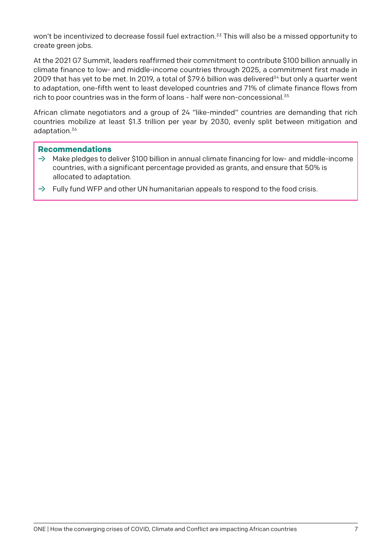won't be incentivized to decrease fossil fuel extraction.<sup>33</sup> This will also be a missed opportunity to create green jobs.

At the 2021 G7 Summit, leaders reaffirmed their commitment to contribute \$100 billion annually in climate finance to low- and middle-income countries through 2025, a commitment first made in 2009 that has yet to be met. In 2019, a total of \$79.6 billion was delivered<sup>34</sup> but only a quarter went to adaptation, one-fifth went to least developed countries and 71% of climate finance flows from rich to poor countries was in the form of loans - half were non-concessional.<sup>35</sup>

African climate negotiators and a group of 24 "like-minded" countries are demanding that rich countries mobilize at least \$1.3 trillion per year by 2030, evenly split between mitigation and adaptation.36

#### **Recommendations**

- $\rightarrow$  Make pledges to deliver \$100 billion in annual climate financing for low- and middle-income countries, with a significant percentage provided as grants, and ensure that 50% is allocated to adaptation.
- $\rightarrow$  Fully fund WFP and other UN humanitarian appeals to respond to the food crisis.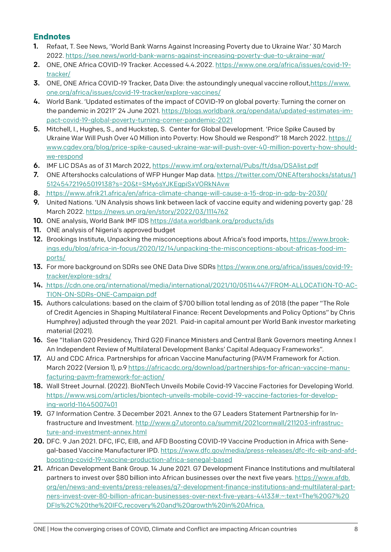### **Endnotes**

- 1. Refaat, T. See News, 'World Bank Warns Against Increasing Poverty due to Ukraine War.' 30 March 2022. <https://see.news/world-bank-warns-against-increasing-poverty-due-to-ukraine-war/>
- 2. ONE, ONE Africa COVID-19 Tracker. Accessed 4.4.2022. [https://www.one.org/africa/issues/covid-19](https://www.one.org/africa/issues/covid-19-tracker/) [tracker/](https://www.one.org/africa/issues/covid-19-tracker/)
- **3.** ONE, ONE Africa COVID-19 Tracker, Data Dive: the astoundingly unequal vaccine rollout, [https://www.](https://www.one.org/africa/issues/covid-19-tracker/explore-vaccines/) [one.org/africa/issues/covid-19-tracker/explore-vaccines/](https://www.one.org/africa/issues/covid-19-tracker/explore-vaccines/)
- 4. World Bank. 'Updated estimates of the impact of COVID-19 on global poverty: Turning the corner on the pandemic in 2021?' 24 June 2021. [https://blogs.worldbank.org/opendata/updated-estimates-im](https://blogs.worldbank.org/opendata/updated-estimates-impact-covid-19-global-poverty-turning-corner-pandemic-2021)[pact-covid-19-global-poverty-turning-corner-pandemic-2021](https://blogs.worldbank.org/opendata/updated-estimates-impact-covid-19-global-poverty-turning-corner-pandemic-2021)
- 5. Mitchell, I., Hughes, S., and Huckstep, S. Center for Global Development. 'Price Spike Caused by Ukraine War Will Push Over 40 Million into Poverty: How Should we Respond?' 18 March 2022. [https://](https://www.cgdev.org/blog/price-spike-caused-ukraine-war-will-push-over-40-million-poverty-how-should-we-respond) [www.cgdev.org/blog/price-spike-caused-ukraine-war-will-push-over-40-million-poverty-how-should](https://www.cgdev.org/blog/price-spike-caused-ukraine-war-will-push-over-40-million-poverty-how-should-we-respond)[we-respond](https://www.cgdev.org/blog/price-spike-caused-ukraine-war-will-push-over-40-million-poverty-how-should-we-respond)
- 6. IMF LIC DSAs as of 31 March 2022,<https://www.imf.org/external/Pubs/ft/dsa/DSAlist.pdf>
- 7. ONE Aftershocks calculations of WFP Hunger Map data. [https://twitter.com/ONEAftershocks/status/1](https://twitter.com/ONEAftershocks/status/1512454721965019138?s=20&t=SMy6sYJKEgpiSxVORkNAvw) [512454721965019138?s=20&t=SMy6sYJKEgpiSxVORkNAvw](https://twitter.com/ONEAftershocks/status/1512454721965019138?s=20&t=SMy6sYJKEgpiSxVORkNAvw)
- 8. <https://www.afrik21.africa/en/africa-climate-change-will-cause-a-15-drop-in-gdp-by-2030/>
- 9. United Nations. 'UN Analysis shows link between lack of vaccine equity and widening poverty gap.' 28 March 2022. <https://news.un.org/en/story/2022/03/1114762>
- 10. ONE analysis, World Bank IMF IDS <https://data.worldbank.org/products/ids>
- 11. ONE analysis of Nigeria's approved budget
- 12. Brookings Institute, Unpacking the misconceptions about Africa's food imports, [https://www.brook](https://www.brookings.edu/blog/africa-in-focus/2020/12/14/unpacking-the-misconceptions-about-africas-food-imports/)[ings.edu/blog/africa-in-focus/2020/12/14/unpacking-the-misconceptions-about-africas-food-im](https://www.brookings.edu/blog/africa-in-focus/2020/12/14/unpacking-the-misconceptions-about-africas-food-imports/)[ports/](https://www.brookings.edu/blog/africa-in-focus/2020/12/14/unpacking-the-misconceptions-about-africas-food-imports/)
- 13. For more background on SDRs see ONE Data Dive SDRs [https://www.one.org/africa/issues/covid-19](https://www.one.org/africa/issues/covid-19-tracker/explore-sdrs/) [tracker/explore-sdrs/](https://www.one.org/africa/issues/covid-19-tracker/explore-sdrs/)
- 14. [https://cdn.one.org/international/media/international/2021/10/05114447/FROM-ALLOCATION-TO-AC-](https://cdn.one.org/international/media/international/2021/10/05114447/FROM-ALLOCATION-TO-ACTION-ON-SDRs-ONE-Campaign.pdf)[TION-ON-SDRs-ONE-Campaign.pdf](https://cdn.one.org/international/media/international/2021/10/05114447/FROM-ALLOCATION-TO-ACTION-ON-SDRs-ONE-Campaign.pdf)
- 15. Authors calculations: based on the claim of \$700 billion total lending as of 2018 (the paper "The Role of Credit Agencies in Shaping Multilateral Finance: Recent Developments and Policy Options" by Chris Humphrey) adjusted through the year 2021. Paid-in capital amount per World Bank investor marketing material (2021).
- 16. See "Italian G20 Presidency, Third G20 Finance Ministers and Central Bank Governors meeting Annex I An Independent Review of Multilateral Development Banks' Capital Adequacy Frameworks".
- 17. AU and CDC Africa. Partnerships for african Vaccine Manufacturing (PAVM Framework for Action. March 2022 (Version 1), p.9 [https://africacdc.org/download/partnerships-for-african-vaccine-manu](https://africacdc.org/download/partnerships-for-african-vaccine-manufacturing-pavm-framework-for-action/)[facturing-pavm-framework-for-action/](https://africacdc.org/download/partnerships-for-african-vaccine-manufacturing-pavm-framework-for-action/)
- 18. Wall Street Journal. (2022). BioNTech Unveils Mobile Covid-19 Vaccine Factories for Developing World. [https://www.wsj.com/articles/biontech-unveils-mobile-covid-19-vaccine-factories-for-develop](https://www.wsj.com/articles/biontech-unveils-mobile-covid-19-vaccine-factories-for-developing-world-11645007401)[ing-world-11645007401](https://www.wsj.com/articles/biontech-unveils-mobile-covid-19-vaccine-factories-for-developing-world-11645007401)
- 19. G7 Information Centre. 3 December 2021. Annex to the G7 Leaders Statement Partnership for Infrastructure and Investment. [http://www.g7.utoronto.ca/summit/2021cornwall/211203-infrastruc](http://www.g7.utoronto.ca/summit/2021cornwall/211203-infrastructure-and-investment-annex.html)[ture-and-investment-annex.html](http://www.g7.utoronto.ca/summit/2021cornwall/211203-infrastructure-and-investment-annex.html)
- 20. DFC. 9 Jan 2021. DFC, IFC, EIB, and AFD Boosting COVID-19 Vaccine Production in Africa with Senegal-based Vaccine Manufacturer IPD. [https://www.dfc.gov/media/press-releases/dfc-ifc-eib-and-afd](https://www.dfc.gov/media/press-releases/dfc-ifc-eib-and-afd-boosting-covid-19-vaccine-production-africa-senegal-based)[boosting-covid-19-vaccine-production-africa-senegal-based](https://www.dfc.gov/media/press-releases/dfc-ifc-eib-and-afd-boosting-covid-19-vaccine-production-africa-senegal-based)
- 21. African Development Bank Group. 14 June 2021. G7 Development Finance Institutions and multilateral partners to invest over \$80 billion into African businesses over the next five years. [https://www.afdb.](https://www.afdb.org/en/news-and-events/press-releases/g7-development-finance-institutions-and-multilateral-partners-invest-over-80-billion-african-businesses-over-next-five-years-44133#:~:text=The%20G7%20DFIs%2C%20the%20IFC,recovery%20and%20growth%20in%2) [org/en/news-and-events/press-releases/g7-development-finance-institutions-and-multilateral-part](https://www.afdb.org/en/news-and-events/press-releases/g7-development-finance-institutions-and-multilateral-partners-invest-over-80-billion-african-businesses-over-next-five-years-44133#:~:text=The%20G7%20DFIs%2C%20the%20IFC,recovery%20and%20growth%20in%2)[ners-invest-over-80-billion-african-businesses-over-next-five-years-44133#:~:text=The%20G7%20](https://www.afdb.org/en/news-and-events/press-releases/g7-development-finance-institutions-and-multilateral-partners-invest-over-80-billion-african-businesses-over-next-five-years-44133#:~:text=The%20G7%20DFIs%2C%20the%20IFC,recovery%20and%20growth%20in%2) [DFIs%2C%20the%20IFC,recovery%20and%20growth%20in%20Africa.](https://www.afdb.org/en/news-and-events/press-releases/g7-development-finance-institutions-and-multilateral-partners-invest-over-80-billion-african-businesses-over-next-five-years-44133#:~:text=The%20G7%20DFIs%2C%20the%20IFC,recovery%20and%20growth%20in%2)